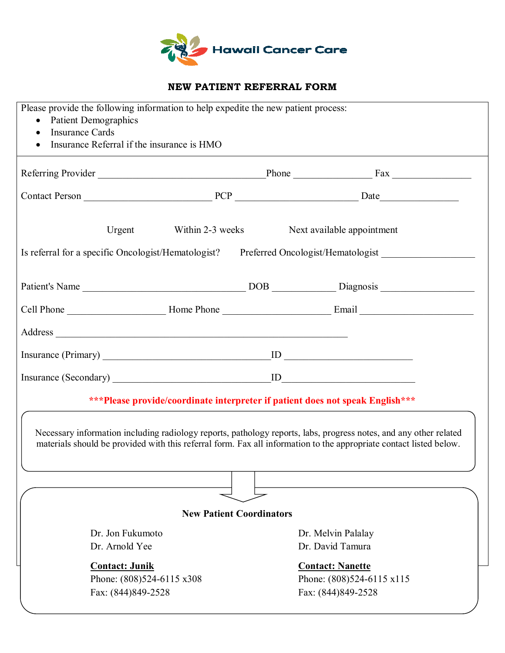

## **NEW PATIENT REFERRAL FORM**

| Please provide the following information to help expedite the new patient process:<br><b>Patient Demographics</b><br>$\bullet$<br><b>Insurance Cards</b><br>$\bullet$<br>Insurance Referral if the insurance is HMO                     |                  |  |                                                                                       |  |
|-----------------------------------------------------------------------------------------------------------------------------------------------------------------------------------------------------------------------------------------|------------------|--|---------------------------------------------------------------------------------------|--|
|                                                                                                                                                                                                                                         |                  |  |                                                                                       |  |
|                                                                                                                                                                                                                                         |                  |  |                                                                                       |  |
| Urgent                                                                                                                                                                                                                                  | Within 2-3 weeks |  | Next available appointment                                                            |  |
|                                                                                                                                                                                                                                         |                  |  | Is referral for a specific Oncologist/Hematologist? Preferred Oncologist/Hematologist |  |
|                                                                                                                                                                                                                                         |                  |  |                                                                                       |  |
|                                                                                                                                                                                                                                         |                  |  |                                                                                       |  |
|                                                                                                                                                                                                                                         |                  |  |                                                                                       |  |
|                                                                                                                                                                                                                                         |                  |  |                                                                                       |  |
|                                                                                                                                                                                                                                         |                  |  |                                                                                       |  |
|                                                                                                                                                                                                                                         |                  |  | ***Please provide/coordinate interpreter if patient does not speak English***         |  |
| Necessary information including radiology reports, pathology reports, labs, progress notes, and any other related<br>materials should be provided with this referral form. Fax all information to the appropriate contact listed below. |                  |  |                                                                                       |  |
|                                                                                                                                                                                                                                         |                  |  |                                                                                       |  |
| <b>New Patient Coordinators</b>                                                                                                                                                                                                         |                  |  |                                                                                       |  |
| Dr. Jon Fukumoto                                                                                                                                                                                                                        |                  |  | Dr. Melvin Palalay                                                                    |  |
| Dr. Arnold Yee                                                                                                                                                                                                                          |                  |  | Dr. David Tamura                                                                      |  |
| <b>Contact: Junik</b>                                                                                                                                                                                                                   |                  |  | <b>Contact: Nanette</b>                                                               |  |
| Phone: (808)524-6115 x308                                                                                                                                                                                                               |                  |  | Phone: (808)524-6115 x115                                                             |  |
| Fax: (844)849-2528                                                                                                                                                                                                                      |                  |  | Fax: (844)849-2528                                                                    |  |